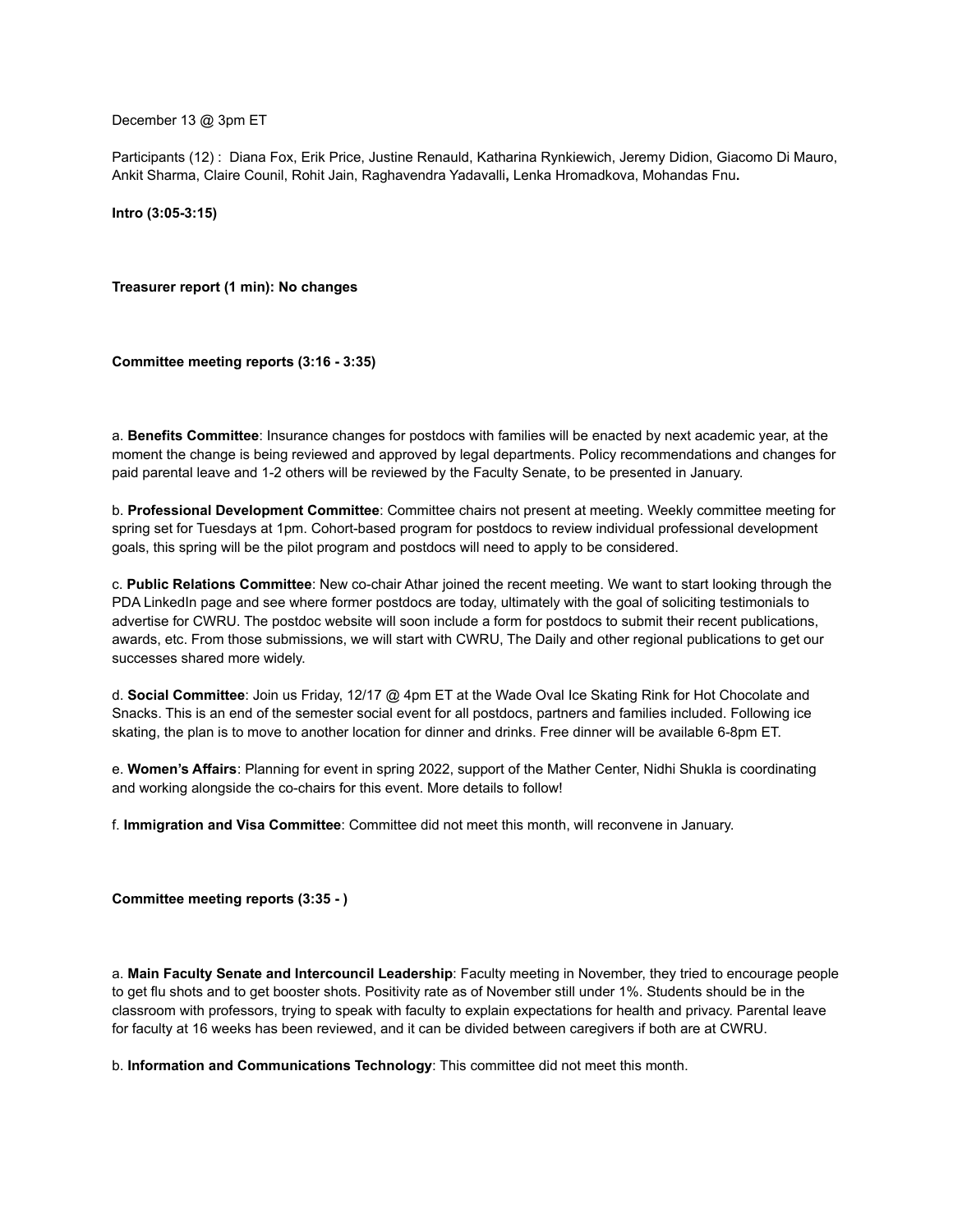December 13 @ 3pm ET

Participants (12) : Diana Fox, Erik Price, Justine Renauld, Katharina Rynkiewich, Jeremy Didion, Giacomo Di Mauro, Ankit Sharma, Claire Counil, Rohit Jain, Raghavendra Yadavalli**,** Lenka Hromadkova, Mohandas Fnu**.**

**Intro (3:05-3:15)**

**Treasurer report (1 min): No changes**

**Committee meeting reports (3:16 - 3:35)**

a. **Benefits Committee**: Insurance changes for postdocs with families will be enacted by next academic year, at the moment the change is being reviewed and approved by legal departments. Policy recommendations and changes for paid parental leave and 1-2 others will be reviewed by the Faculty Senate, to be presented in January.

b. **Professional Development Committee**: Committee chairs not present at meeting. Weekly committee meeting for spring set for Tuesdays at 1pm. Cohort-based program for postdocs to review individual professional development goals, this spring will be the pilot program and postdocs will need to apply to be considered.

c. **Public Relations Committee**: New co-chair Athar joined the recent meeting. We want to start looking through the PDA LinkedIn page and see where former postdocs are today, ultimately with the goal of soliciting testimonials to advertise for CWRU. The postdoc website will soon include a form for postdocs to submit their recent publications, awards, etc. From those submissions, we will start with CWRU, The Daily and other regional publications to get our successes shared more widely.

d. **Social Committee**: Join us Friday, 12/17 @ 4pm ET at the Wade Oval Ice Skating Rink for Hot Chocolate and Snacks. This is an end of the semester social event for all postdocs, partners and families included. Following ice skating, the plan is to move to another location for dinner and drinks. Free dinner will be available 6-8pm ET.

e. **Women's Affairs**: Planning for event in spring 2022, support of the Mather Center, Nidhi Shukla is coordinating and working alongside the co-chairs for this event. More details to follow!

f. **Immigration and Visa Committee**: Committee did not meet this month, will reconvene in January.

**Committee meeting reports (3:35 - )**

a. **Main Faculty Senate and Intercouncil Leadership**: Faculty meeting in November, they tried to encourage people to get flu shots and to get booster shots. Positivity rate as of November still under 1%. Students should be in the classroom with professors, trying to speak with faculty to explain expectations for health and privacy. Parental leave for faculty at 16 weeks has been reviewed, and it can be divided between caregivers if both are at CWRU.

b. **Information and Communications Technology**: This committee did not meet this month.